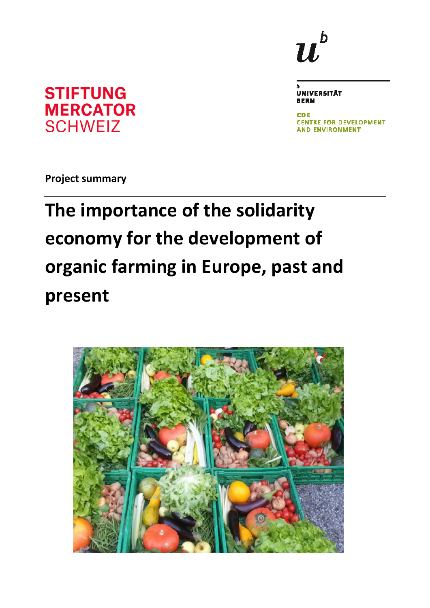# **STIFTUNG MERCATOR SCHWEIZ**

b  $\boldsymbol{u}^{\prime}$ 

**UNIVERSITÄT BERN** 

**CDE CENTRE FOR DEVELOPMENT AND ENVIRONMENT** 

**Project summary**

# **The importance of the solidarity economy for the development of organic farming in Europe, past and present**

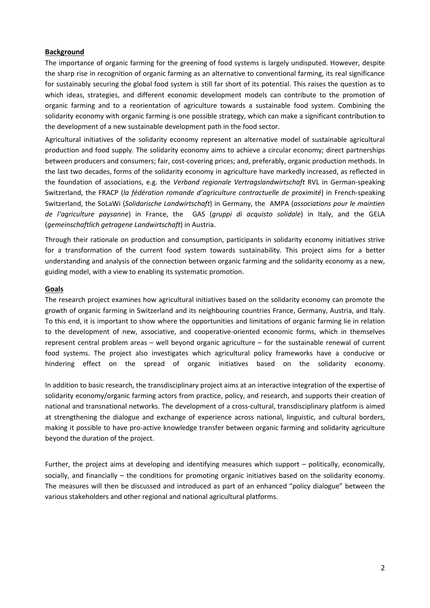#### **Background**

The importance of organic farming for the greening of food systems is largely undisputed. However, despite the sharp rise in recognition of organic farming as an alternative to conventional farming, its real significance for sustainably securing the global food system is still far short of its potential. This raises the question as to which ideas, strategies, and different economic development models can contribute to the promotion of organic farming and to a reorientation of agriculture towards a sustainable food system. Combining the solidarity economy with organic farming is one possible strategy, which can make a significant contribution to the development of a new sustainable development path in the food sector.

Agricultural initiatives of the solidarity economy represent an alternative model of sustainable agricultural production and food supply. The solidarity economy aims to achieve a circular economy; direct partnerships between producers and consumers; fair, cost-covering prices; and, preferably, organic production methods. In the last two decades, forms of the solidarity economy in agriculture have markedly increased, as reflected in the foundation of associations, e.g. the *Verband regionale Vertragslandwirtschaft* RVL in German-speaking Switzerland, the FRACP (*la fédération romande d'agriculture contractuelle de proximité*) in French-speaking Switzerland, the SoLaWi (*Solidarische Landwirtschaft*) in Germany, the AMPA (*associations pour le maintien de l'agriculture paysanne*) in France, the GAS (*gruppi di acquisto solidale*) in Italy, and the GELA (*gemeinschaftlich getragene Landwirtschaft*) in Austria.

Through their rationale on production and consumption, participants in solidarity economy initiatives strive for a transformation of the current food system towards sustainability. This project aims for a better understanding and analysis of the connection between organic farming and the solidarity economy as a new, guiding model, with a view to enabling its systematic promotion.

#### **Goals**

The research project examines how agricultural initiatives based on the solidarity economy can promote the growth of organic farming in Switzerland and its neighbouring countries France, Germany, Austria, and Italy. To this end, it is important to show where the opportunities and limitations of organic farming lie in relation to the development of new, associative, and cooperative-oriented economic forms, which in themselves represent central problem areas – well beyond organic agriculture – for the sustainable renewal of current food systems. The project also investigates which agricultural policy frameworks have a conducive or hindering effect on the spread of organic initiatives based on the solidarity economy.

In addition to basic research, the transdisciplinary project aims at an interactive integration of the expertise of solidarity economy/organic farming actors from practice, policy, and research, and supports their creation of national and transnational networks. The development of a cross-cultural, transdisciplinary platform is aimed at strengthening the dialogue and exchange of experience across national, linguistic, and cultural borders, making it possible to have pro-active knowledge transfer between organic farming and solidarity agriculture beyond the duration of the project.

Further, the project aims at developing and identifying measures which support – politically, economically, socially, and financially – the conditions for promoting organic initiatives based on the solidarity economy. The measures will then be discussed and introduced as part of an enhanced "policy dialogue" between the various stakeholders and other regional and national agricultural platforms.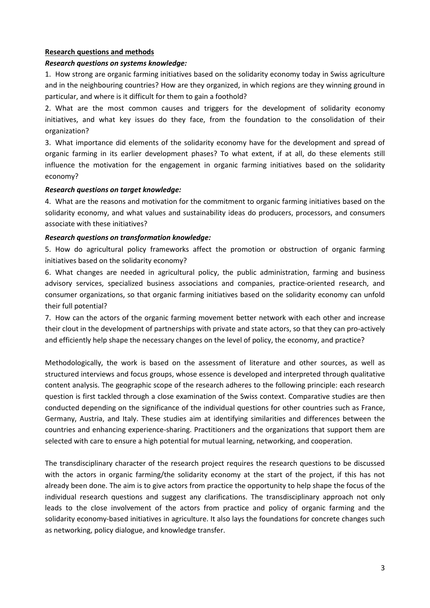# **Research questions and methods**

### *Research questions on systems knowledge:*

1. How strong are organic farming initiatives based on the solidarity economy today in Swiss agriculture and in the neighbouring countries? How are they organized, in which regions are they winning ground in particular, and where is it difficult for them to gain a foothold?

2. What are the most common causes and triggers for the development of solidarity economy initiatives, and what key issues do they face, from the foundation to the consolidation of their organization?

3. What importance did elements of the solidarity economy have for the development and spread of organic farming in its earlier development phases? To what extent, if at all, do these elements still influence the motivation for the engagement in organic farming initiatives based on the solidarity economy?

#### *Research questions on target knowledge:*

4. What are the reasons and motivation for the commitment to organic farming initiatives based on the solidarity economy, and what values and sustainability ideas do producers, processors, and consumers associate with these initiatives?

# *Research questions on transformation knowledge:*

5. How do agricultural policy frameworks affect the promotion or obstruction of organic farming initiatives based on the solidarity economy?

6. What changes are needed in agricultural policy, the public administration, farming and business advisory services, specialized business associations and companies, practice-oriented research, and consumer organizations, so that organic farming initiatives based on the solidarity economy can unfold their full potential?

7. How can the actors of the organic farming movement better network with each other and increase their clout in the development of partnerships with private and state actors, so that they can pro-actively and efficiently help shape the necessary changes on the level of policy, the economy, and practice?

Methodologically, the work is based on the assessment of literature and other sources, as well as structured interviews and focus groups, whose essence is developed and interpreted through qualitative content analysis. The geographic scope of the research adheres to the following principle: each research question is first tackled through a close examination of the Swiss context. Comparative studies are then conducted depending on the significance of the individual questions for other countries such as France, Germany, Austria, and Italy. These studies aim at identifying similarities and differences between the countries and enhancing experience-sharing. Practitioners and the organizations that support them are selected with care to ensure a high potential for mutual learning, networking, and cooperation.

The transdisciplinary character of the research project requires the research questions to be discussed with the actors in organic farming/the solidarity economy at the start of the project, if this has not already been done. The aim is to give actors from practice the opportunity to help shape the focus of the individual research questions and suggest any clarifications. The transdisciplinary approach not only leads to the close involvement of the actors from practice and policy of organic farming and the solidarity economy-based initiatives in agriculture. It also lays the foundations for concrete changes such as networking, policy dialogue, and knowledge transfer.